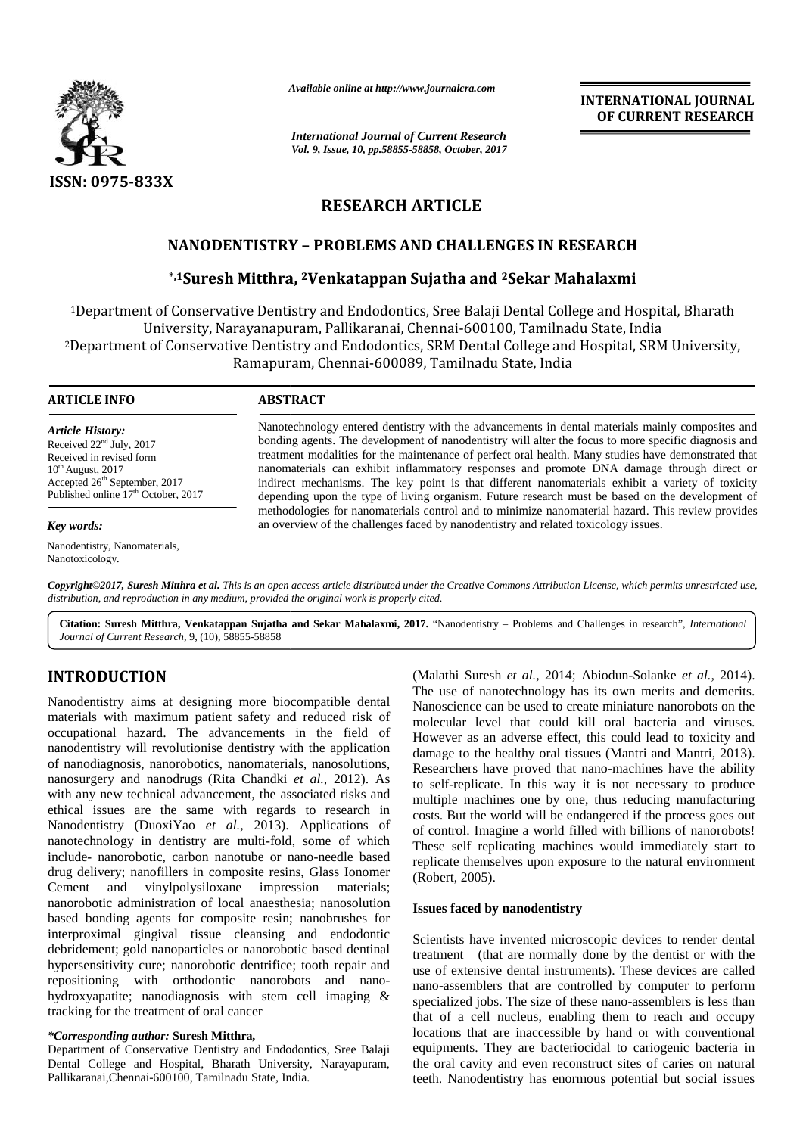

*Available online at http://www.journalcra.com*

*International Journal of Current Research Vol. 9, Issue, 10, pp.58855-58858, October, 2017* **INTERNATIONAL JOURNAL OF CURRENT RESEARCH**

# **RESEARCH ARTICLE**

## **NANODENTISTRY –PROBLEMS AND CHALLENGES IN RESEARCH**

### **\*,1Suresh Mitthra, <sup>2</sup>Venkatappan Sujatha and <sup>2</sup>Sekar Mahalaxmi**

<sup>1</sup>Department of Conservative Dentistry and Endodontics, Sree Balaji Dental College and Hospital, Bharath University, Narayanapuram, Pallikaranai, Chennai-600100, Tamilnadu State, India <sup>2</sup>Department of Conservative Dentistry and Endodontics, SRM Dental College and Hospital, SRM University, Ramapuram, Chennai-600089, Tamilnadu State, India five Dentistry and Endodontics, Sree Balaji Dental College and Hospi<br>rayanapuram, Pallikaranai, Chennai-600100, Tamilnadu State, India<br>ve Dentistry and Endodontics, SRM Dental College and Hospital, SRN<br>Ramapuram, Chennai-6

| ARTICLE INFO                                                                                                                                                                                           | <b>ABSTRACT</b>                                                                                                                                                                                                                                                                                                                                                                                                                                                                                                                                                                                                      |
|--------------------------------------------------------------------------------------------------------------------------------------------------------------------------------------------------------|----------------------------------------------------------------------------------------------------------------------------------------------------------------------------------------------------------------------------------------------------------------------------------------------------------------------------------------------------------------------------------------------------------------------------------------------------------------------------------------------------------------------------------------------------------------------------------------------------------------------|
| Article History:<br>Received $22nd$ July, $2017$<br>Received in revised form<br>$10^{th}$ August, 2017<br>Accepted 26 <sup>th</sup> September, 2017<br>Published online 17 <sup>th</sup> October, 2017 | Nanotechnology entered dentistry with the advancements in dental materials mainly composites and<br>bonding agents. The development of nanodentistry will alter the focus to more specific diagnosis and<br>treatment modalities for the maintenance of perfect oral health. Many studies have demonstrated that<br>nanomaterials can exhibit inflammatory responses and promote DNA damage through direct or<br>indirect mechanisms. The key point is that different nanomaterials exhibit a variety of toxicity<br>depending upon the type of living organism. Future research must be based on the development of |
| Kev words:                                                                                                                                                                                             | methodologies for nanomaterials control and to minimize nanomaterial hazard. This review provides<br>an overview of the challenges faced by nanodentistry and related toxicology issues.                                                                                                                                                                                                                                                                                                                                                                                                                             |

*Key words:*

Nanodentistry, Nanomaterials, Nanotoxicology.

**Copyright©2017, Suresh Mitthra et al.** This is an open access article distributed under the Creative Commons Attribution License, which permits unrestricted use,<br>distribution, and reproduction in any medium, provided the *distribution, and reproduction in any medium, provided the original work is properly cited.*

**Citation: Suresh Mitthra, Venkatappan Sujatha and Sekar Mahalaxmi, 2017.** "Nanodentistry – Problems and Challenges in research", *International Journal of Current Research*, 9, (10), 58855-58858

# **INTRODUCTION INTRODUCTION**

Nanodentistry aims at designing more biocompatible dental materials with maximum patient safety and reduced risk of m occupational hazard. The advancements in the field of nanodentistry will revolutionise dentistry with the application of nanodiagnosis, nanorobotics, nanomaterials, nanosolutions, nanosurgery and nanodrugs (Rita Chandki *et al.,* 2012). As with any new technical advancement, the associated risks and ethical issues are the same with regards to research in <sub>costs</sub> Nanodentistry (DuoxiYao *et al.,* 2013). Applications of nanotechnology in dentistry are multi-fold, some of which include- nanorobotic, carbon nanotube or nano-needle based drug delivery; nanofillers in composite resins, Glass Ionomer Cement and vinylpolysiloxane impression materials; nanorobotic administration of local anaesthesia; nanosolution based bonding agents for composite resin; nanobrushes for interproximal gingival tissue cleansing and endodontic Scie debridement; gold nanoparticles or nanorobotic based dentinal hypersensitivity cure; nanorobotic dentrifice; tooth repair and repositioning with orthodontic nanorobots and nanohydroxyapatite; nanodiagnosis with stem cell imaging & tracking for the treatment of oral cancer Nanodentistry aims at designing more biocompatible dental<br>materials with maximum patient safety and reduced risk of<br>occupational hazard. The advancements in the field of<br>nanodentistry will revolutionise dentistry with the nanosurgery and nanodrugs (Rita Chandki *et al.*, 2012). As<br>with any new technical advancement, the associated risks and<br>ethical issues are the same with regards to research in<br>Nanodentistry (DuoxiYao *et al.*, 2013). Appl Cement and vinylpolysiloxane impression materials;<br>nanorobotic administration of local anaesthesia; nanosolution<br>based bonding agents for composite resin; nanobrushes for debridement; gold nanoparticles or nanorobotic based<br>hypersensitivity cure; nanorobotic dentrifice; tooth re<br>repositioning with orthodontic nanorobots and<br>hydroxyapatite; nanodiagnosis with stem cell ima<br>tracking for the t **INTRODUCTION** (Malahi Sures of each 2014). The interest of all and Sures and the state in the tract of orease ministers are all the state in Nanoscience can be used to create minister and the material state in the follow **EVALUATE CONSERVATION INTERNATIONAL CONSERVATION INTERNATIONAL CONSERVATION INTERNATIONAL CONSERVATION INTERNATIONAL CONSERVATION INTERNATIONAL CONSERVATION INTERNATIONAL CONSERVATION INTERNATIONAL CONSERVATION INTERNATI** 

#### *\*Corresponding author:* **Suresh Mitthra,** *\*Corresponding* **Mitthra,**

Department of Conservative Dentistry and Endodontics, Sree Balaji Dental College and Hospital, Bharath University, Narayapuram, Pallikaranai,Chennai-600100, Tamilnadu State, India.

(Malathi Suresh *et al.,* 2014; Abiodun-Solanke *et al.,* 2014). The use of nanotechnology has its own merits and demerits. Nanoscience can be used to create miniature nanorobots on the molecular level that could kill oral bacteria and viruses. However as an adverse effect, this could lead to toxicity and damage to the healthy oral tissues (Mantri and Mantri, 2013). Researchers have proved that nano-machines have the ability to self-replicate. In this way it is not necessary to produce multiple machines one by one, thus reducing manufacturing costs. But the world will be endangered if the process goes out of control. Imagine a world filled with billions of nanorobots! These self replicating machines would immediately start to replicate themselves upon exposure to the natural environment (Robert, 2005). by one, thus reducing manufacturing machines one by one, thus reducing manufacturing the world will be endangered if the process goes out Imagine a world filled with billions of nanorobots! if replicating machines would im

#### **Issues faced by nanodentistry**

Scientists have invented microscopic devices to render dental treatment (that are normally done by the dentist or with the use of extensive dental instruments). These devices are called nano-assemblers that are controlled by computer to perform specialized jobs. The size of these nano-assemblers is less than that of a cell nucleus, enabling them to reach and occupy locations that are inaccessible by hand or with conventional equipments. They are bacteriocidal to cariogenic bacteria in the oral cavity and even reconstruct sites of caries on natural teeth. Nanodentistry has enormous potential but social issues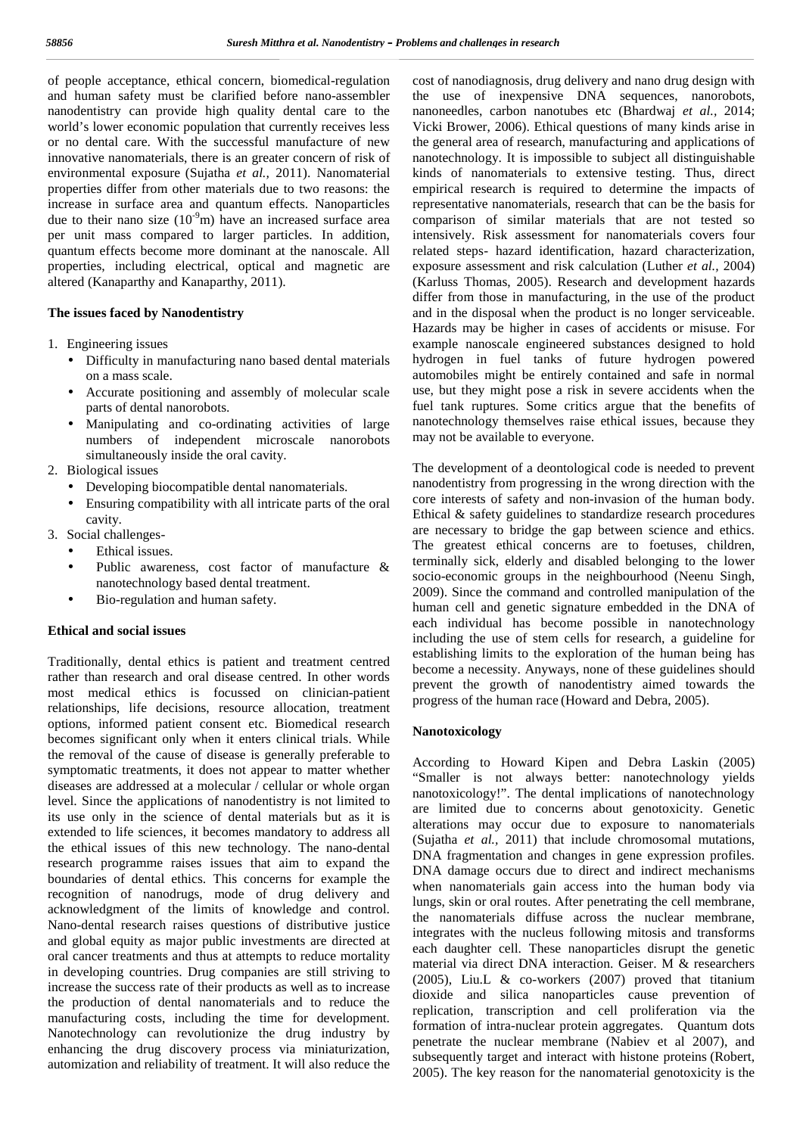of people acceptance, ethical concern, biomedical-regulation and human safety must be clarified before nano-assembler nanodentistry can provide high quality dental care to the world's lower economic population that currently receives less or no dental care. With the successful manufacture of new innovative nanomaterials, there is an greater concern of risk of environmental exposure (Sujatha *et al.,* 2011). Nanomaterial properties differ from other materials due to two reasons: the increase in surface area and quantum effects. Nanoparticles due to their nano size  $(10<sup>-9</sup>m)$  have an increased surface area per unit mass compared to larger particles. In addition, quantum effects become more dominant at the nanoscale. All properties, including electrical, optical and magnetic are altered (Kanaparthy and Kanaparthy, 2011).

#### **The issues faced by Nanodentistry**

- 1. Engineering issues
	- Difficulty in manufacturing nano based dental materials on a mass scale.
	- Accurate positioning and assembly of molecular scale parts of dental nanorobots.
	- Manipulating and co-ordinating activities of large numbers of independent microscale nanorobots simultaneously inside the oral cavity.
- 2. Biological issues
	- Developing biocompatible dental nanomaterials.
	- Ensuring compatibility with all intricate parts of the oral cavity.
- 3. Social challenges-
	- Ethical issues.
	- Public awareness, cost factor of manufacture & nanotechnology based dental treatment.
	- Bio-regulation and human safety.

#### **Ethical and social issues**

Traditionally, dental ethics is patient and treatment centred rather than research and oral disease centred. In other words most medical ethics is focussed on clinician-patient relationships, life decisions, resource allocation, treatment options, informed patient consent etc. Biomedical research becomes significant only when it enters clinical trials. While the removal of the cause of disease is generally preferable to symptomatic treatments, it does not appear to matter whether diseases are addressed at a molecular / cellular or whole organ level. Since the applications of nanodentistry is not limited to its use only in the science of dental materials but as it is extended to life sciences, it becomes mandatory to address all the ethical issues of this new technology. The nano-dental research programme raises issues that aim to expand the boundaries of dental ethics. This concerns for example the recognition of nanodrugs, mode of drug delivery and acknowledgment of the limits of knowledge and control. Nano-dental research raises questions of distributive justice and global equity as major public investments are directed at oral cancer treatments and thus at attempts to reduce mortality in developing countries. Drug companies are still striving to increase the success rate of their products as well as to increase the production of dental nanomaterials and to reduce the manufacturing costs, including the time for development. Nanotechnology can revolutionize the drug industry by enhancing the drug discovery process via miniaturization, automization and reliability of treatment. It will also reduce the

cost of nanodiagnosis, drug delivery and nano drug design with the use of inexpensive DNA sequences, nanorobots, nanoneedles, carbon nanotubes etc (Bhardwaj *et al.,* 2014; Vicki Brower, 2006). Ethical questions of many kinds arise in the general area of research, manufacturing and applications of nanotechnology. It is impossible to subject all distinguishable kinds of nanomaterials to extensive testing. Thus, direct empirical research is required to determine the impacts of representative nanomaterials, research that can be the basis for comparison of similar materials that are not tested so intensively. Risk assessment for nanomaterials covers four related steps- hazard identification, hazard characterization, exposure assessment and risk calculation (Luther *et al.,* 2004) (Karluss Thomas, 2005). Research and development hazards differ from those in manufacturing, in the use of the product and in the disposal when the product is no longer serviceable. Hazards may be higher in cases of accidents or misuse. For example nanoscale engineered substances designed to hold hydrogen in fuel tanks of future hydrogen powered automobiles might be entirely contained and safe in normal use, but they might pose a risk in severe accidents when the fuel tank ruptures. Some critics argue that the benefits of nanotechnology themselves raise ethical issues, because they may not be available to everyone.

The development of a deontological code is needed to prevent nanodentistry from progressing in the wrong direction with the core interests of safety and non-invasion of the human body. Ethical & safety guidelines to standardize research procedures are necessary to bridge the gap between science and ethics. The greatest ethical concerns are to foetuses, children, terminally sick, elderly and disabled belonging to the lower socio-economic groups in the neighbourhood (Neenu Singh, 2009). Since the command and controlled manipulation of the human cell and genetic signature embedded in the DNA of each individual has become possible in nanotechnology including the use of stem cells for research, a guideline for establishing limits to the exploration of the human being has become a necessity. Anyways, none of these guidelines should prevent the growth of nanodentistry aimed towards the progress of the human race (Howard and Debra, 2005).

#### **Nanotoxicology**

According to Howard Kipen and Debra Laskin (2005) "Smaller is not always better: nanotechnology yields nanotoxicology!". The dental implications of nanotechnology are limited due to concerns about genotoxicity. Genetic alterations may occur due to exposure to nanomaterials (Sujatha *et al.,* 2011) that include chromosomal mutations, DNA fragmentation and changes in gene expression profiles. DNA damage occurs due to direct and indirect mechanisms when nanomaterials gain access into the human body via lungs, skin or oral routes. After penetrating the cell membrane, the nanomaterials diffuse across the nuclear membrane, integrates with the nucleus following mitosis and transforms each daughter cell. These nanoparticles disrupt the genetic material via direct DNA interaction. Geiser. M & researchers (2005), Liu.L & co-workers (2007) proved that titanium dioxide and silica nanoparticles cause prevention of replication, transcription and cell proliferation via the formation of intra-nuclear protein aggregates. Quantum dots penetrate the nuclear membrane (Nabiev et al 2007), and subsequently target and interact with histone proteins (Robert, 2005). The key reason for the nanomaterial genotoxicity is the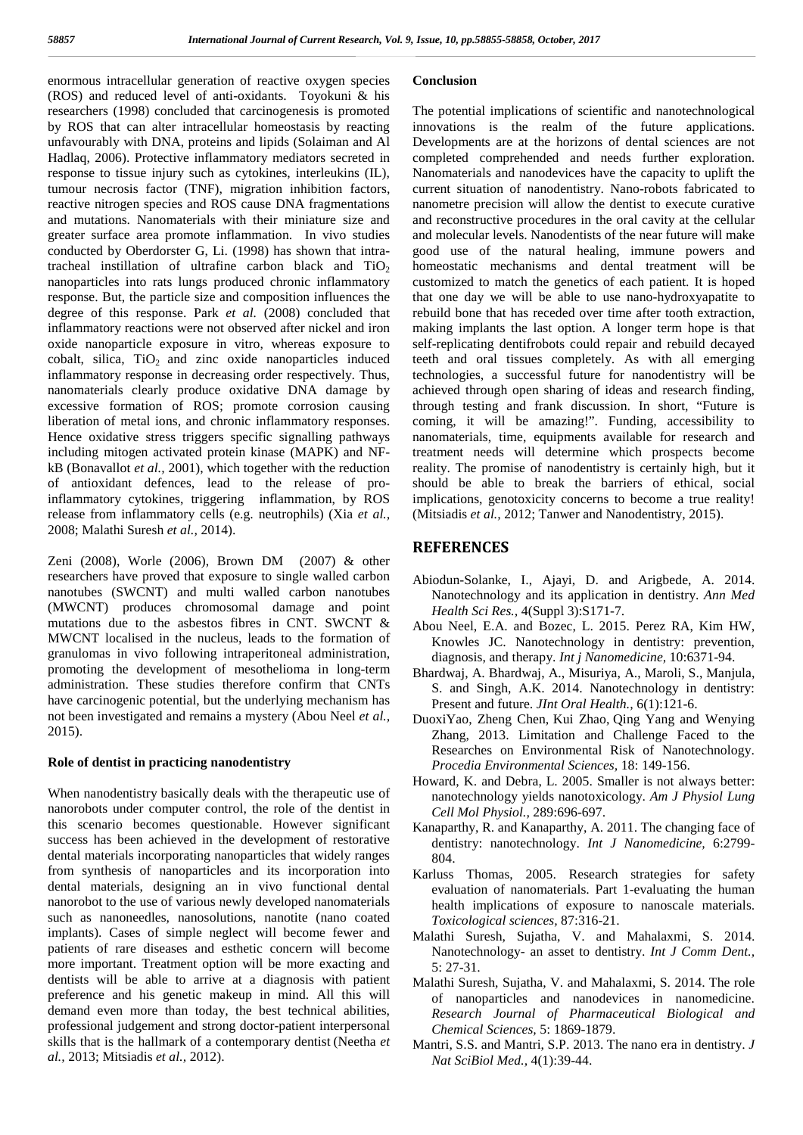enormous intracellular generation of reactive oxygen species (ROS) and reduced level of anti-oxidants. Toyokuni & his researchers (1998) concluded that carcinogenesis is promoted by ROS that can alter intracellular homeostasis by reacting unfavourably with DNA, proteins and lipids (Solaiman and Al Hadlaq, 2006). Protective inflammatory mediators secreted in response to tissue injury such as cytokines, interleukins (IL), tumour necrosis factor (TNF), migration inhibition factors, reactive nitrogen species and ROS cause DNA fragmentations and mutations. Nanomaterials with their miniature size and greater surface area promote inflammation. In vivo studies conducted by Oberdorster G, Li. (1998) has shown that intratracheal instillation of ultrafine carbon black and  $TiO<sub>2</sub>$ nanoparticles into rats lungs produced chronic inflammatory response. But, the particle size and composition influences the degree of this response. Park *et al.* (2008) concluded that inflammatory reactions were not observed after nickel and iron oxide nanoparticle exposure in vitro, whereas exposure to cobalt, silica,  $TiO<sub>2</sub>$  and zinc oxide nanoparticles induced inflammatory response in decreasing order respectively. Thus, nanomaterials clearly produce oxidative DNA damage by excessive formation of ROS; promote corrosion causing liberation of metal ions, and chronic inflammatory responses. Hence oxidative stress triggers specific signalling pathways including mitogen activated protein kinase (MAPK) and NF kB (Bonavallot *et al.,* 2001), which together with the reduction of antioxidant defences, lead to the release of proinflammatory cytokines, triggering inflammation, by ROS release from inflammatory cells (e.g. neutrophils) (Xia *et al.,* 2008; Malathi Suresh *et al.,* 2014).

Zeni (2008), Worle (2006), Brown DM (2007) & other researchers have proved that exposure to single walled carbon nanotubes (SWCNT) and multi walled carbon nanotubes (MWCNT) produces chromosomal damage and point mutations due to the asbestos fibres in CNT. SWCNT & MWCNT localised in the nucleus, leads to the formation of granulomas in vivo following intraperitoneal administration, promoting the development of mesothelioma in long-term administration. These studies therefore confirm that CNTs have carcinogenic potential, but the underlying mechanism has not been investigated and remains a mystery (Abou Neel *et al.,* 2015).

#### **Role of dentist in practicing nanodentistry**

When nanodentistry basically deals with the therapeutic use of nanorobots under computer control, the role of the dentist in this scenario becomes questionable. However significant success has been achieved in the development of restorative dental materials incorporating nanoparticles that widely ranges from synthesis of nanoparticles and its incorporation into dental materials, designing an in vivo functional dental nanorobot to the use of various newly developed nanomaterials such as nanoneedles, nanosolutions, nanotite (nano coated implants). Cases of simple neglect will become fewer and patients of rare diseases and esthetic concern will become more important. Treatment option will be more exacting and dentists will be able to arrive at a diagnosis with patient preference and his genetic makeup in mind. All this will demand even more than today, the best technical abilities, professional judgement and strong doctor-patient interpersonal skills that is the hallmark of a contemporary dentist (Neetha *et al.,* 2013; Mitsiadis *et al.,* 2012).

### **Conclusion**

The potential implications of scientific and nanotechnological innovations is the realm of the future applications. Developments are at the horizons of dental sciences are not completed comprehended and needs further exploration. Nanomaterials and nanodevices have the capacity to uplift the current situation of nanodentistry. Nano-robots fabricated to nanometre precision will allow the dentist to execute curative and reconstructive procedures in the oral cavity at the cellular and molecular levels. Nanodentists of the near future will make good use of the natural healing, immune powers and homeostatic mechanisms and dental treatment will be customized to match the genetics of each patient. It is hoped that one day we will be able to use nano-hydroxyapatite to rebuild bone that has receded over time after tooth extraction, making implants the last option. A longer term hope is that self-replicating dentifrobots could repair and rebuild decayed teeth and oral tissues completely. As with all emerging technologies, a successful future for nanodentistry will be achieved through open sharing of ideas and research finding, through testing and frank discussion. In short, "Future is coming, it will be amazing!". Funding, accessibility to nanomaterials, time, equipments available for research and treatment needs will determine which prospects become reality. The promise of nanodentistry is certainly high, but it should be able to break the barriers of ethical, social implications, genotoxicity concerns to become a true reality! (Mitsiadis *et al.,* 2012; Tanwer and Nanodentistry, 2015).

### **REFERENCES**

- Abiodun-Solanke, I., Ajayi, D. and Arigbede, A. 2014. Nanotechnology and its application in dentistry. *Ann Med Health Sci Res.,* 4(Suppl 3):S171-7.
- Abou Neel, E.A. and Bozec, L. 2015. Perez RA, Kim HW, Knowles JC. Nanotechnology in dentistry: prevention, diagnosis, and therapy. *Int j Nanomedicine,* 10:6371-94.
- Bhardwaj, A. Bhardwaj, A., Misuriya, A., Maroli, S., Manjula, S. and Singh, A.K. 2014. Nanotechnology in dentistry: Present and future. *JInt Oral Health.,* 6(1):121-6.
- DuoxiYao, Zheng Chen, Kui Zhao, Qing Yang and Wenying Zhang, 2013. Limitation and Challenge Faced to the Researches on Environmental Risk of Nanotechnology. *Procedia Environmental Sciences,* 18: 149-156.
- Howard, K. and Debra, L. 2005. Smaller is not always better: nanotechnology yields nanotoxicology. *Am J Physiol Lung Cell Mol Physiol.,* 289:696-697.
- Kanaparthy, R. and Kanaparthy, A. 2011. The changing face of dentistry: nanotechnology. *Int J Nanomedicine,* 6:2799- 804.
- Karluss Thomas, 2005. Research strategies for safety evaluation of nanomaterials. Part 1-evaluating the human health implications of exposure to nanoscale materials. *Toxicological sciences,* 87:316-21.
- Malathi Suresh, Sujatha, V. and Mahalaxmi, S. 2014. Nanotechnology- an asset to dentistry. *Int J Comm Dent.,* 5: 27-31.
- Malathi Suresh, Sujatha, V. and Mahalaxmi, S. 2014. The role of nanoparticles and nanodevices in nanomedicine. *Research Journal of Pharmaceutical Biological and Chemical Sciences,* 5: 1869-1879.
- Mantri, S.S. and Mantri, S.P. 2013. The nano era in dentistry. *J Nat SciBiol Med.,* 4(1):39-44.